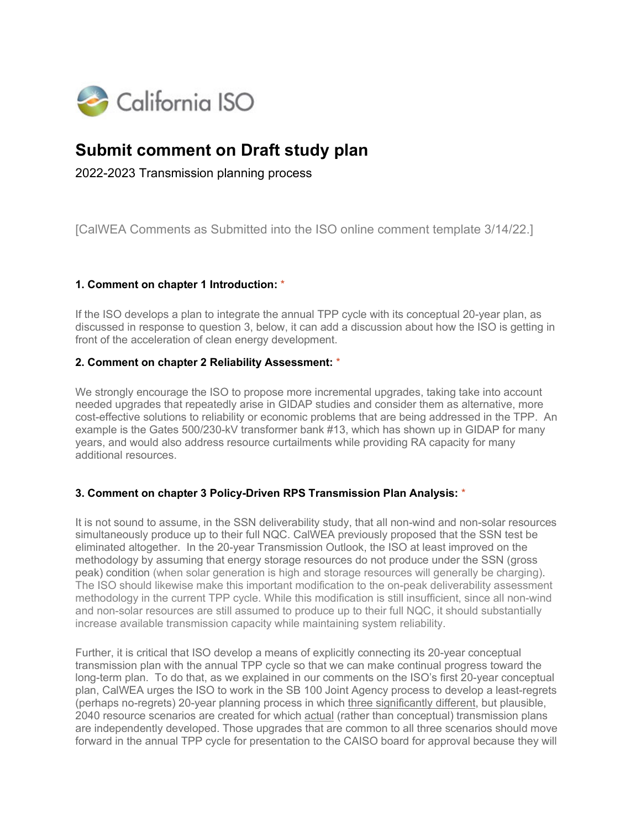

# **Submit comment on Draft study plan**

2022-2023 Transmission planning process

[CalWEA Comments as Submitted into the ISO online comment template 3/14/22.]

## **1. Comment on chapter 1 Introduction:** \*

If the ISO develops a plan to integrate the annual TPP cycle with its conceptual 20-year plan, as discussed in response to question 3, below, it can add a discussion about how the ISO is getting in front of the acceleration of clean energy development.

#### **2. Comment on chapter 2 Reliability Assessment:** \*

We strongly encourage the ISO to propose more incremental upgrades, taking take into account needed upgrades that repeatedly arise in GIDAP studies and consider them as alternative, more cost-effective solutions to reliability or economic problems that are being addressed in the TPP. An example is the Gates 500/230-kV transformer bank #13, which has shown up in GIDAP for many years, and would also address resource curtailments while providing RA capacity for many additional resources.

#### **3. Comment on chapter 3 Policy-Driven RPS Transmission Plan Analysis:** \*

It is not sound to assume, in the SSN deliverability study, that all non-wind and non-solar resources simultaneously produce up to their full NQC. CalWEA previously proposed that the SSN test be eliminated altogether. In the 20-year Transmission Outlook, the ISO at least improved on the methodology by assuming that energy storage resources do not produce under the SSN (gross peak) condition (when solar generation is high and storage resources will generally be charging). The ISO should likewise make this important modification to the on-peak deliverability assessment methodology in the current TPP cycle. While this modification is still insufficient, since all non-wind and non-solar resources are still assumed to produce up to their full NQC, it should substantially increase available transmission capacity while maintaining system reliability.

Further, it is critical that ISO develop a means of explicitly connecting its 20-year conceptual transmission plan with the annual TPP cycle so that we can make continual progress toward the long-term plan. To do that, as we explained in our comments on the ISO's first 20-year conceptual plan, CalWEA urges the ISO to work in the SB 100 Joint Agency process to develop a least-regrets (perhaps no-regrets) 20-year planning process in which three significantly different, but plausible, 2040 resource scenarios are created for which actual (rather than conceptual) transmission plans are independently developed. Those upgrades that are common to all three scenarios should move forward in the annual TPP cycle for presentation to the CAISO board for approval because they will